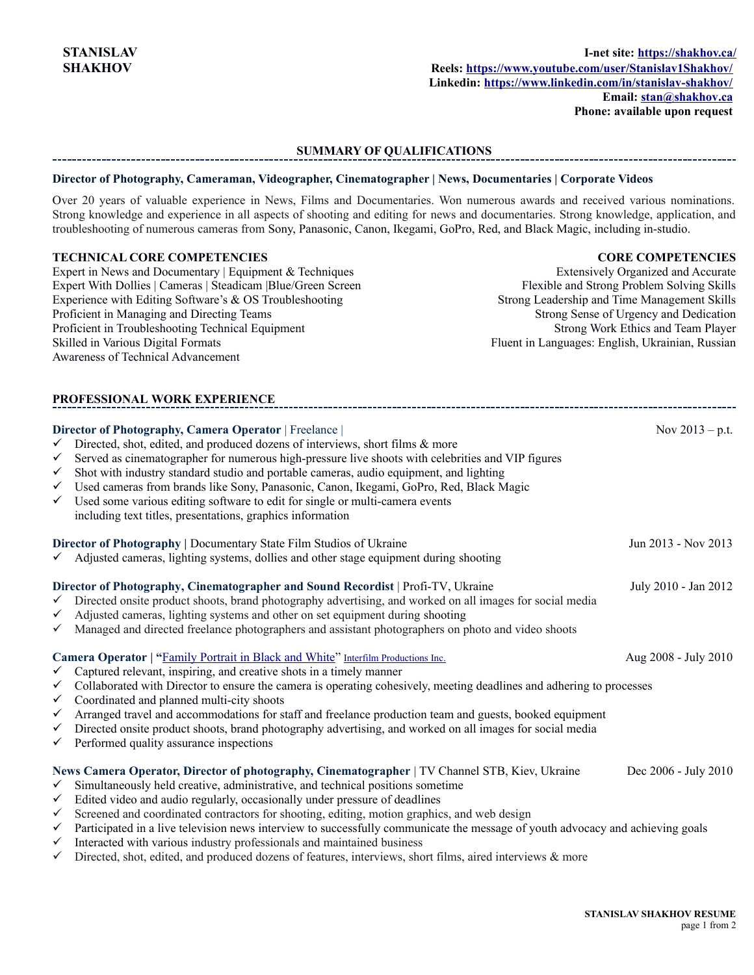**Phone: available upon request**

#### **SUMMARY OF QUALIFICATIONS**

#### **Director of Photography, Cameraman, Videographer, Cinematographer | News, Documentaries | Corporate Videos**

Over 20 years of valuable experience in News, Films and Documentaries. Won numerous awards and received various nominations. Strong knowledge and experience in all aspects of shooting and editing for news and documentaries. Strong knowledge, application, and troubleshooting of numerous cameras from Sony, Panasonic, Canon, Ikegami, GoPro, Red, and Black Magic, including in-studio.

# **TECHNICAL CORE COMPETENCIES**

### **CORE COMPETENCIES**

Expert in News and Documentary | Equipment & Techniques Expert With Dollies | Cameras | Steadicam |[Blue/Green Screen](https://entertainment.howstuffworks.com/blue-screen.htm) Experience with Editing Software's & OS Troubleshooting Proficient in Managing and Directing Teams Proficient in Troubleshooting Technical Equipment Skilled in Various Digital Formats Awareness of Technical Advancement

Extensively Organized and Accurate Flexible and Strong Problem Solving Skills Strong Leadership and Time Management Skills Strong Sense of Urgency and Dedication Strong Work Ethics and Team Player Fluent in Languages: English, Ukrainian, Russian

# **PROFESSIONAL WORK EXPERIENCE**

| $\checkmark$<br>$\checkmark$<br>$\checkmark$<br>$\checkmark$<br>$\checkmark$      | Director of Photography, Camera Operator   Freelance  <br>Directed, shot, edited, and produced dozens of interviews, short films & more<br>Served as cinematographer for numerous high-pressure live shoots with celebrities and VIP figures<br>Shot with industry standard studio and portable cameras, audio equipment, and lighting<br>Used cameras from brands like Sony, Panasonic, Canon, Ikegami, GoPro, Red, Black Magic<br>Used some various editing software to edit for single or multi-camera events<br>including text titles, presentations, graphics information                                                                                                         | Nov $2013 - p.t.$    |
|-----------------------------------------------------------------------------------|----------------------------------------------------------------------------------------------------------------------------------------------------------------------------------------------------------------------------------------------------------------------------------------------------------------------------------------------------------------------------------------------------------------------------------------------------------------------------------------------------------------------------------------------------------------------------------------------------------------------------------------------------------------------------------------|----------------------|
|                                                                                   | Director of Photography   Documentary State Film Studios of Ukraine<br>$\checkmark$ Adjusted cameras, lighting systems, dollies and other stage equipment during shooting                                                                                                                                                                                                                                                                                                                                                                                                                                                                                                              | Jun 2013 - Nov 2013  |
| $\checkmark$<br>$\checkmark$<br>$\checkmark$                                      | Director of Photography, Cinematographer and Sound Recordist   Profi-TV, Ukraine<br>Directed onsite product shoots, brand photography advertising, and worked on all images for social media<br>Adjusted cameras, lighting systems and other on set equipment during shooting<br>Managed and directed freelance photographers and assistant photographers on photo and video shoots                                                                                                                                                                                                                                                                                                    | July 2010 - Jan 2012 |
| $\checkmark$<br>$\checkmark$<br>✓<br>$\checkmark$<br>$\checkmark$<br>$\checkmark$ | Camera Operator   "Family Portrait in Black and White" Interfilm Productions Inc.<br>Aug 2008 - July 2010<br>Captured relevant, inspiring, and creative shots in a timely manner<br>Collaborated with Director to ensure the camera is operating cohesively, meeting deadlines and adhering to processes<br>Coordinated and planned multi-city shoots<br>Arranged travel and accommodations for staff and freelance production team and guests, booked equipment<br>Directed onsite product shoots, brand photography advertising, and worked on all images for social media<br>Performed quality assurance inspections                                                                |                      |
| $\checkmark$<br>$\checkmark$<br>$\checkmark$<br>$\checkmark$<br>$\checkmark$<br>✓ | News Camera Operator, Director of photography, Cinematographer   TV Channel STB, Kiev, Ukraine<br>Simultaneously held creative, administrative, and technical positions sometime<br>Edited video and audio regularly, occasionally under pressure of deadlines<br>Screened and coordinated contractors for shooting, editing, motion graphics, and web design<br>Participated in a live television news interview to successfully communicate the message of youth advocacy and achieving goals<br>Interacted with various industry professionals and maintained business<br>Directed, shot, edited, and produced dozens of features, interviews, short films, aired interviews & more | Dec 2006 - July 2010 |